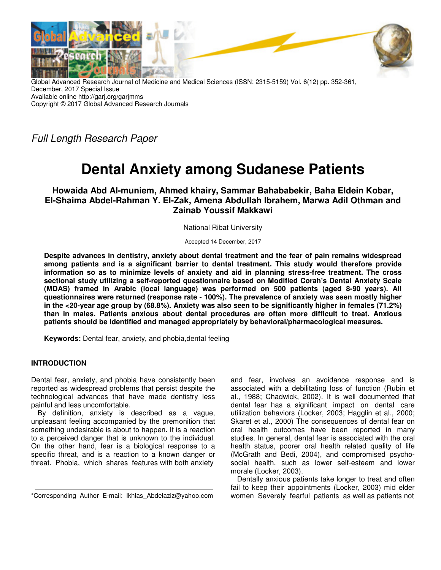

Global Advanced Research Journal of Medicine and Medical Sciences (ISSN: 2315-5159) Vol. 6(12) pp. 352-361, December, 2017 Special Issue Available online http://garj.org/garjmms Copyright © 2017 Global Advanced Research Journals

Full Length Research Paper

# **Dental Anxiety among Sudanese Patients**

**Howaida Abd Al-muniem, Ahmed khairy, Sammar Bahababekir, Baha Eldein Kobar, El-Shaima Abdel-Rahman Y. El-Zak, Amena Abdullah Ibrahem, Marwa Adil Othman and Zainab Youssif Makkawi** 

National Ribat University

Accepted 14 December, 2017

**Despite advances in dentistry, anxiety about dental treatment and the fear of pain remains widespread among patients and is a significant barrier to dental treatment. This study would therefore provide information so as to minimize levels of anxiety and aid in planning stress-free treatment. The cross sectional study utilizing a self-reported questionnaire based on Modified Corah's Dental Anxiety Scale (MDAS) framed in Arabic (local language) was performed on 500 patients (aged 8-90 years). All questionnaires were returned (response rate - 100%). The prevalence of anxiety was seen mostly higher in the <20-year age group by (68.8%). Anxiety was also seen to be significantly higher in females (71.2%) than in males. Patients anxious about dental procedures are often more difficult to treat. Anxious patients should be identified and managed appropriately by behavioral/pharmacological measures.** 

**Keywords:** Dental fear, anxiety, and phobia,dental feeling

# **INTRODUCTION**

Dental fear, anxiety, and phobia have consistently been reported as widespread problems that persist despite the technological advances that have made dentistry less painful and less uncomfortable.

By definition, anxiety is described as a vague, unpleasant feeling accompanied by the premonition that something undesirable is about to happen. It is a reaction to a perceived danger that is unknown to the individual. On the other hand, fear is a biological response to a specific threat, and is a reaction to a known danger or threat. Phobia, which shares features with both anxiety

\*Corresponding Author E-mail: Ikhlas\_Abdelaziz@yahoo.com

and fear, involves an avoidance response and is associated with a debilitating loss of function (Rubin et al., 1988; Chadwick, 2002). It is well documented that dental fear has a significant impact on dental care utilization behaviors (Locker, 2003; Hagglin et al., 2000; Skaret et al., 2000) The consequences of dental fear on oral health outcomes have been reported in many studies. In general, dental fear is associated with the oral health status, poorer oral health related quality of life (McGrath and Bedi, 2004), and compromised psychosocial health, such as lower self-esteem and lower morale (Locker, 2003).

Dentally anxious patients take longer to treat and often fail to keep their appointments (Locker, 2003) mid elder women Severely fearful patients as well as patients not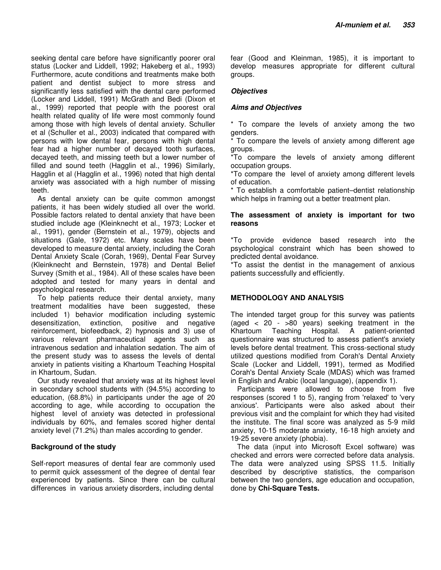seeking dental care before have significantly poorer oral status (Locker and Liddell, 1992; Hakeberg et al., 1993) Furthermore, acute conditions and treatments make both patient and dentist subject to more stress and significantly less satisfied with the dental care performed (Locker and Liddell, 1991) McGrath and Bedi (Dixon et al., 1999) reported that people with the poorest oral health related quality of life were most commonly found among those with high levels of dental anxiety. Schuller et al (Schuller et al., 2003) indicated that compared with persons with low dental fear, persons with high dental fear had a higher number of decayed tooth surfaces, decayed teeth, and missing teeth but a lower number of filled and sound teeth (Hagglin et al., 1996) Similarly, Hagglin et al (Hagglin et al., 1996) noted that high dental anxiety was associated with a high number of missing teeth.

As dental anxiety can be quite common amongst patients, it has been widely studied all over the world. Possible factors related to dental anxiety that have been studied include age (Kleinknecht et al., 1973; Locker et al., 1991), gender (Bernstein et al., 1979), objects and situations (Gale, 1972) etc. Many scales have been developed to measure dental anxiety, including the Corah Dental Anxiety Scale (Corah, 1969), Dental Fear Survey (Kleinknecht and Bernstein, 1978) and Dental Belief Survey (Smith et al., 1984). All of these scales have been adopted and tested for many years in dental and psychological research.

To help patients reduce their dental anxiety, many treatment modalities have been suggested, these included 1) behavior modification including systemic desensitization, extinction, positive and negative reinforcement, biofeedback, 2) hypnosis and 3) use of various relevant pharmaceutical agents such as intravenous sedation and inhalation sedation. The aim of the present study was to assess the levels of dental anxiety in patients visiting a Khartoum Teaching Hospital in Khartoum, Sudan.

Our study revealed that anxiety was at its highest level in secondary school students with (94.5%) according to education, (68.8%) in participants under the age of 20 according to age, while according to occupation the highest level of anxiety was detected in professional individuals by 60%, and females scored higher dental anxiety level (71.2%) than males according to gender.

# **Background of the study**

Self-report measures of dental fear are commonly used to permit quick assessment of the degree of dental fear experienced by patients. Since there can be cultural differences in various anxiety disorders, including dental

fear (Good and Kleinman, 1985), it is important to develop measures appropriate for different cultural groups.

## **Objectives**

## **Aims and Objectives**

\* To compare the levels of anxiety among the two genders.

\* To compare the levels of anxiety among different age groups.

\*To compare the levels of anxiety among different occupation groups.

\*To compare the level of anxiety among different levels of education.

\* To establish a comfortable patient–dentist relationship which helps in framing out a better treatment plan.

# **The assessment of anxiety is important for two reasons**

\*To provide evidence based research into the psychological constraint which has been showed to predicted dental avoidance.

\*To assist the dentist in the management of anxious patients successfully and efficiently.

# **METHODOLOGY AND ANALYSIS**

The intended target group for this survey was patients (aged < 20 - >80 years) seeking treatment in the Khartoum Teaching Hospital. A patient-oriented questionnaire was structured to assess patient's anxiety levels before dental treatment. This cross-sectional study utilized questions modified from Corah's Dental Anxiety Scale (Locker and Liddell, 1991), termed as Modified Corah's Dental Anxiety Scale (MDAS) which was framed in English and Arabic (local language), (appendix 1).

Participants were allowed to choose from five responses (scored 1 to 5), ranging from 'relaxed' to 'very anxious'. Participants were also asked about their previous visit and the complaint for which they had visited the institute. The final score was analyzed as 5-9 mild anxiety, 10-15 moderate anxiety, 16-18 high anxiety and 19-25 severe anxiety (phobia).

The data (input into Microsoft Excel software) was checked and errors were corrected before data analysis. The data were analyzed using SPSS 11.5. Initially described by descriptive statistics, the comparison between the two genders, age education and occupation, done by **Chi-Square Tests.**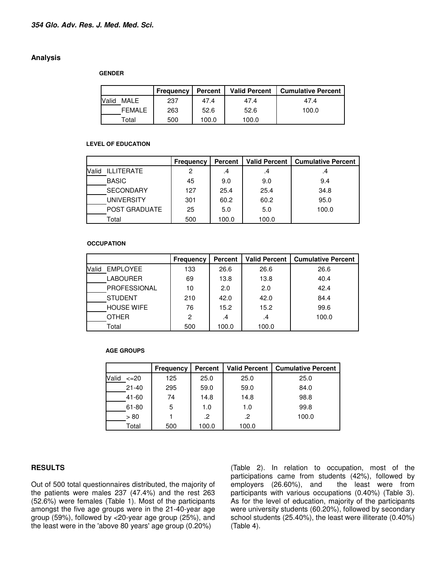## **Analysis**

#### **GENDER**

|       |               | Frequency | <b>Percent</b> | <b>Valid Percent</b> | <b>Cumulative Percent</b> |
|-------|---------------|-----------|----------------|----------------------|---------------------------|
| Valid | MALE          | 237       | 47.4           | 47.4                 | 47.4                      |
|       | <b>FEMALE</b> | 263       | 52.6           | 52.6                 | 100.0                     |
|       | Total         | 500       | 100.0          | 100.0                |                           |

#### **LEVEL OF EDUCATION**

|                            | <b>Frequency</b> | Percent | <b>Valid Percent</b> | <b>Cumulative Percent</b> |
|----------------------------|------------------|---------|----------------------|---------------------------|
| <b>ILLITERATE</b><br>Valid | 2                | .4      | .4                   | .4                        |
| <b>BASIC</b>               | 45               | 9.0     | 9.0                  | 9.4                       |
| <b>SECONDARY</b>           | 127              | 25.4    | 25.4                 | 34.8                      |
| <b>UNIVERSITY</b>          | 301              | 60.2    | 60.2                 | 95.0                      |
| POST GRADUATE              | 25               | 5.0     | 5.0                  | 100.0                     |
| Total                      | 500              | 100.0   | 100.0                |                           |

#### **OCCUPATION**

|                     | Frequency | Percent | <b>Valid Percent</b> | <b>Cumulative Percent</b> |
|---------------------|-----------|---------|----------------------|---------------------------|
| EMPLOYEE<br>Valid   | 133       | 26.6    | 26.6                 | 26.6                      |
| <b>LABOURER</b>     | 69        | 13.8    | 13.8                 | 40.4                      |
| <b>PROFESSIONAL</b> | 10        | 2.0     | 2.0                  | 42.4                      |
| <b>STUDENT</b>      | 210       | 42.0    | 42.0                 | 84.4                      |
| <b>HOUSE WIFE</b>   | 76        | 15.2    | 15.2                 | 99.6                      |
| <b>OTHER</b>        | 2         | .4      | .4                   | 100.0                     |
| Total               | 500       | 100.0   | 100.0                |                           |

#### **AGE GROUPS**

|               | Frequency | <b>Percent</b> | <b>Valid Percent</b> | <b>Cumulative Percent</b> |
|---------------|-----------|----------------|----------------------|---------------------------|
| Valid<br>–20⊱ | 125       | 25.0           | 25.0                 | 25.0                      |
| $21 - 40$     | 295       | 59.0           | 59.0                 | 84.0                      |
| 41-60         | 74        | 14.8           | 14.8                 | 98.8                      |
| 61-80         | 5         | 1.0            | 1.0                  | 99.8                      |
| > 80          |           | .2             | .2                   | 100.0                     |
| Total         | 500       | 100.0          | 100.0                |                           |

# **RESULTS**

Out of 500 total questionnaires distributed, the majority of the patients were males 237 (47.4%) and the rest 263 (52.6%) were females (Table 1). Most of the participants amongst the five age groups were in the 21-40-year age group (59%), followed by <20-year age group (25%), and the least were in the 'above 80 years' age group (0.20%)

(Table 2). In relation to occupation, most of the participations came from students (42%), followed by employers (26.60%), and the least were from participants with various occupations (0.40%) (Table 3). As for the level of education, majority of the participants were university students (60.20%), followed by secondary school students (25.40%), the least were illiterate (0.40%) (Table 4).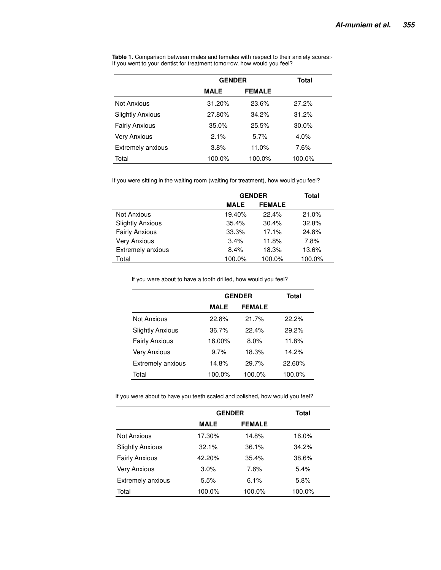|                          | <b>GENDER</b> |               | Total   |
|--------------------------|---------------|---------------|---------|
|                          | <b>MALE</b>   | <b>FEMALE</b> |         |
| Not Anxious              | 31.20%        | 23.6%         | 27.2%   |
| <b>Slightly Anxious</b>  | 27.80%        | 34.2%         | 31.2%   |
| <b>Fairly Anxious</b>    | 35.0%         | 25.5%         | 30.0%   |
| Very Anxious             | 2.1%          | 5.7%          | $4.0\%$ |
| <b>Extremely anxious</b> | 3.8%          | 11.0%         | 7.6%    |
| Total                    | 100.0%        | 100.0%        | 100.0%  |

**Table 1.** Comparison between males and females with respect to their anxiety scores:- If you went to your dentist for treatment tomorrow, how would you feel?

If you were sitting in the waiting room (waiting for treatment), how would you feel?

|                         |             | <b>GENDER</b> | <b>Total</b> |
|-------------------------|-------------|---------------|--------------|
|                         | <b>MALE</b> | <b>FEMALE</b> |              |
| Not Anxious             | 19.40%      | 22.4%         | 21.0%        |
| <b>Slightly Anxious</b> | 35.4%       | 30.4%         | 32.8%        |
| <b>Fairly Anxious</b>   | 33.3%       | 17.1%         | 24.8%        |
| <b>Very Anxious</b>     | 3.4%        | 11.8%         | 7.8%         |
| Extremely anxious       | 8.4%        | 18.3%         | 13.6%        |
| Total                   | 100.0%      | 100.0%        | 100.0%       |

If you were about to have a tooth drilled, how would you feel?

|                          |        | <b>GENDER</b> | Total  |
|--------------------------|--------|---------------|--------|
|                          | MALE   | <b>FEMALE</b> |        |
| Not Anxious              | 22.8%  | 21.7%         | 22.2%  |
| <b>Slightly Anxious</b>  | 36.7%  | 22.4%         | 29.2%  |
| <b>Fairly Anxious</b>    | 16.00% | 8.0%          | 11.8%  |
| Very Anxious             | 9.7%   | 18.3%         | 14.2%  |
| <b>Extremely anxious</b> | 14.8%  | 29.7%         | 22.60% |
| Total                    | 100.0% | 100.0%        | 100.0% |

If you were about to have you teeth scaled and polished, how would you feel?

|                          |             | <b>GENDER</b> | Total  |
|--------------------------|-------------|---------------|--------|
|                          | <b>MALE</b> | <b>FEMALE</b> |        |
| Not Anxious              | 17.30%      | 14.8%         | 16.0%  |
| <b>Slightly Anxious</b>  | 32.1%       | 36.1%         | 34.2%  |
| <b>Fairly Anxious</b>    | 42.20%      | 35.4%         | 38.6%  |
| <b>Very Anxious</b>      | 3.0%        | 7.6%          | 5.4%   |
| <b>Extremely anxious</b> | 5.5%        | 6.1%          | 5.8%   |
| Total                    | 100.0%      | 100.0%        | 100.0% |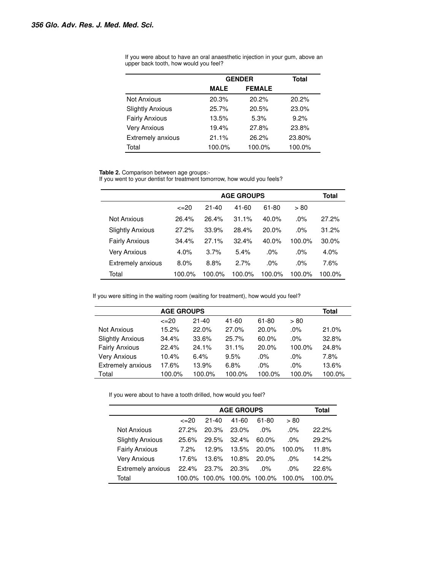|                         |             | <b>GENDER</b> | <b>Total</b> |
|-------------------------|-------------|---------------|--------------|
|                         | <b>MALE</b> | <b>FEMALE</b> |              |
| <b>Not Anxious</b>      | 20.3%       | 20.2%         | 20.2%        |
| <b>Slightly Anxious</b> | 25.7%       | 20.5%         | 23.0%        |
| <b>Fairly Anxious</b>   | 13.5%       | 5.3%          | 9.2%         |
| <b>Very Anxious</b>     | 19.4%       | 27.8%         | 23.8%        |
| Extremely anxious       | 21.1%       | 26.2%         | 23.80%       |
| Total                   | 100.0%      | 100.0%        | 100.0%       |

If you were about to have an oral anaesthetic injection in your gum, above an upper back tooth, how would you feel?

**Table 2.** Comparison between age groups:-

If you went to your dentist for treatment tomorrow, how would you feels?

|                          |                 | <b>AGE GROUPS</b> |        |        |        |         |
|--------------------------|-----------------|-------------------|--------|--------|--------|---------|
|                          | $\epsilon = 20$ | $21 - 40$         | 41-60  | 61-80  | > 80   |         |
| Not Anxious              | 26.4%           | 26.4%             | 31.1%  | 40.0%  | $.0\%$ | 27.2%   |
| <b>Slightly Anxious</b>  | 27.2%           | 33.9%             | 28.4%  | 20.0%  | $.0\%$ | 31.2%   |
| <b>Fairly Anxious</b>    | 34.4%           | 27.1%             | 32.4%  | 40.0%  | 100.0% | 30.0%   |
| Very Anxious             | 4.0%            | 3.7%              | 5.4%   | $.0\%$ | $.0\%$ | $4.0\%$ |
| <b>Extremely anxious</b> | 8.0%            | 8.8%              | 2.7%   | $.0\%$ | $.0\%$ | 7.6%    |
| Total                    | 100.0%          | 100.0%            | 100.0% | 100.0% | 100.0% | 100.0%  |

If you were sitting in the waiting room (waiting for treatment), how would you feel?

| <b>AGE GROUPS</b>       |           |           |           |        |        |        |
|-------------------------|-----------|-----------|-----------|--------|--------|--------|
|                         | $\leq$ 20 | $21 - 40$ | $41 - 60$ | 61-80  | > 80   |        |
| Not Anxious             | 15.2%     | 22.0%     | 27.0%     | 20.0%  | $.0\%$ | 21.0%  |
| <b>Slightly Anxious</b> | 34.4%     | 33.6%     | 25.7%     | 60.0%  | $.0\%$ | 32.8%  |
| <b>Fairly Anxious</b>   | 22.4%     | 24.1%     | 31.1%     | 20.0%  | 100.0% | 24.8%  |
| <b>Very Anxious</b>     | 10.4%     | 6.4%      | 9.5%      | $.0\%$ | $.0\%$ | 7.8%   |
| Extremely anxious       | 17.6%     | 13.9%     | 6.8%      | $.0\%$ | $.0\%$ | 13.6%  |
| Total                   | 100.0%    | 100.0%    | 100.0%    | 100.0% | 100.0% | 100.0% |

If you were about to have a tooth drilled, how would you feel?

|                          |                 | <b>AGE GROUPS</b> |               |          |           |        |  |
|--------------------------|-----------------|-------------------|---------------|----------|-----------|--------|--|
|                          | $\epsilon = 20$ | $21 - 40$         | 41-60         | 61-80    | > 80      |        |  |
| Not Anxious              | $27.2\%$        | 20.3%             | 23.0%         | $.0\%$   | $.0\%$    | 22.2%  |  |
| <b>Slightly Anxious</b>  | 25.6%           | 29.5%             | 32.4%         | 60.0%    | $.0\%$    | 29.2%  |  |
| <b>Fairly Anxious</b>    | $7.2\%$         | 12.9%             | 13.5%         | $20.0\%$ | $100.0\%$ | 11.8%  |  |
| <b>Very Anxious</b>      | 17.6%           | 13.6%             | 10.8%         | $20.0\%$ | $.0\%$    | 14.2%  |  |
| <b>Extremely anxious</b> | 22.4%           | 23.7%             | 20.3%         | .0%      | $.0\%$    | 22.6%  |  |
| Total                    | 100.0%          | 100.0%            | 100.0% 100.0% |          | 100.0%    | 100.0% |  |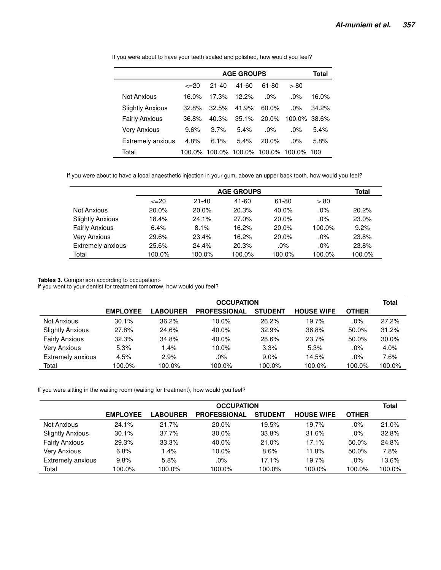|                         |                 |           | <b>AGE GROUPS</b> |          |                          | Total |
|-------------------------|-----------------|-----------|-------------------|----------|--------------------------|-------|
|                         | $\epsilon = 20$ | $21 - 40$ | 41-60             | 61-80    | > 80                     |       |
| Not Anxious             | 16.0%           | 17.3%     | 12.2%             | $.0\%$   | $.0\%$                   | 16.0% |
| <b>Slightly Anxious</b> | 32.8%           | 32.5%     | 41.9%             | $60.0\%$ | $.0\%$                   | 34.2% |
| <b>Fairly Anxious</b>   | 36.8%           | 40.3%     | $35.1\%$          | $20.0\%$ | 100.0% 38.6%             |       |
| Very Anxious            | 9.6%            | 3.7%      | 5.4%              | $.0\%$   | $.0\%$                   | 5.4%  |
| Extremely anxious       | 4.8%            | 6.1%      | 5.4%              | $20.0\%$ | $.0\%$                   | 5.8%  |
| Total                   | 100.0%          | 100.0%    |                   |          | 100.0% 100.0% 100.0% 100 |       |

If you were about to have your teeth scaled and polished, how would you feel?

If you were about to have a local anaesthetic injection in your gum, above an upper back tooth, how would you feel?

|                         |                 |           | <b>AGE GROUPS</b> |        |        | <b>Total</b> |
|-------------------------|-----------------|-----------|-------------------|--------|--------|--------------|
|                         | $\epsilon = 20$ | $21 - 40$ | 41-60             | 61-80  | > 80   |              |
| Not Anxious             | 20.0%           | 20.0%     | 20.3%             | 40.0%  | $.0\%$ | 20.2%        |
| <b>Slightly Anxious</b> | 18.4%           | 24.1%     | 27.0%             | 20.0%  | $.0\%$ | 23.0%        |
| <b>Fairly Anxious</b>   | 6.4%            | 8.1%      | 16.2%             | 20.0%  | 100.0% | 9.2%         |
| <b>Very Anxious</b>     | 29.6%           | 23.4%     | 16.2%             | 20.0%  | $.0\%$ | 23.8%        |
| Extremely anxious       | 25.6%           | 24.4%     | 20.3%             | $.0\%$ | $.0\%$ | 23.8%        |
| Total                   | 100.0%          | 100.0%    | 100.0%            | 100.0% | 100.0% | 100.0%       |

# **Tables 3.** Comparison according to occupation:-

If you went to your dentist for treatment tomorrow, how would you feel?

|                         | <b>OCCUPATION</b> |                 |                     |                |                   |              |        |  |
|-------------------------|-------------------|-----------------|---------------------|----------------|-------------------|--------------|--------|--|
|                         | <b>EMPLOYEE</b>   | <b>LABOURER</b> | <b>PROFESSIONAL</b> | <b>STUDENT</b> | <b>HOUSE WIFE</b> | <b>OTHER</b> |        |  |
| <b>Not Anxious</b>      | 30.1%             | 36.2%           | 10.0%               | 26.2%          | 19.7%             | .0%          | 27.2%  |  |
| <b>Slightly Anxious</b> | 27.8%             | 24.6%           | 40.0%               | 32.9%          | 36.8%             | 50.0%        | 31.2%  |  |
| <b>Fairly Anxious</b>   | 32.3%             | 34.8%           | 40.0%               | 28.6%          | 23.7%             | $50.0\%$     | 30.0%  |  |
| <b>Very Anxious</b>     | 5.3%              | 1.4%            | 10.0%               | 3.3%           | 5.3%              | .0%          | 4.0%   |  |
| Extremely anxious       | 4.5%              | 2.9%            | .0%                 | $9.0\%$        | 14.5%             | .0%          | 7.6%   |  |
| Total                   | 100.0%            | 100.0%          | 100.0%              | 100.0%         | 100.0%            | 100.0%       | 100.0% |  |

If you were sitting in the waiting room (waiting for treatment), how would you feel?

|                         | <b>OCCUPATION</b> |                 |                     |                |                   |              |        |  |
|-------------------------|-------------------|-----------------|---------------------|----------------|-------------------|--------------|--------|--|
|                         | <b>EMPLOYEE</b>   | <b>LABOURER</b> | <b>PROFESSIONAL</b> | <b>STUDENT</b> | <b>HOUSE WIFE</b> | <b>OTHER</b> |        |  |
| Not Anxious             | 24.1%             | 21.7%           | 20.0%               | 19.5%          | 19.7%             | .0%          | 21.0%  |  |
| <b>Slightly Anxious</b> | 30.1%             | 37.7%           | 30.0%               | 33.8%          | 31.6%             | .0%          | 32.8%  |  |
| <b>Fairly Anxious</b>   | 29.3%             | 33.3%           | 40.0%               | 21.0%          | 17.1%             | 50.0%        | 24.8%  |  |
| Very Anxious            | 6.8%              | 1.4%            | 10.0%               | 8.6%           | 11.8%             | 50.0%        | 7.8%   |  |
| Extremely anxious       | 9.8%              | 5.8%            | .0%                 | 17.1%          | 19.7%             | .0%          | 13.6%  |  |
| Total                   | 100.0%            | 100.0%          | 100.0%              | 100.0%         | 100.0%            | 100.0%       | 100.0% |  |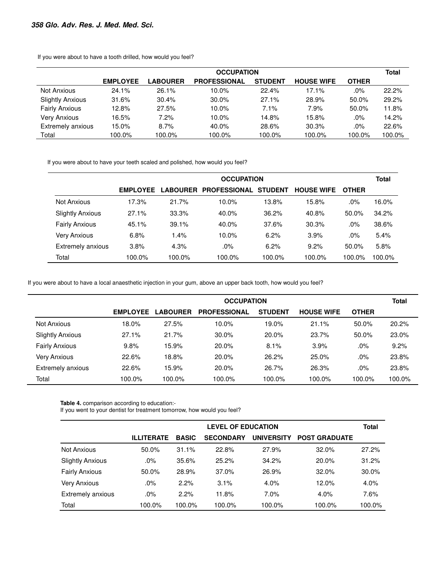|                         | <b>OCCUPATION</b> |                 |                     |                |                   |              |        |  |
|-------------------------|-------------------|-----------------|---------------------|----------------|-------------------|--------------|--------|--|
|                         | <b>EMPLOYEE</b>   | <b>LABOURER</b> | <b>PROFESSIONAL</b> | <b>STUDENT</b> | <b>HOUSE WIFE</b> | <b>OTHER</b> |        |  |
| Not Anxious             | 24.1%             | 26.1%           | 10.0%               | 22.4%          | 17.1%             | .0%          | 22.2%  |  |
| <b>Slightly Anxious</b> | 31.6%             | 30.4%           | 30.0%               | 27.1%          | 28.9%             | 50.0%        | 29.2%  |  |
| <b>Fairly Anxious</b>   | 12.8%             | 27.5%           | 10.0%               | 7.1%           | 7.9%              | 50.0%        | 11.8%  |  |
| <b>Very Anxious</b>     | 16.5%             | 7.2%            | 10.0%               | 14.8%          | 15.8%             | .0%          | 14.2%  |  |
| Extremely anxious       | 15.0%             | 8.7%            | 40.0%               | 28.6%          | 30.3%             | .0%          | 22.6%  |  |
| Total                   | 100.0%            | 100.0%          | 100.0%              | 100.0%         | 100.0%            | 100.0%       | 100.0% |  |

If you were about to have a tooth drilled, how would you feel?

If you were about to have your teeth scaled and polished, how would you feel?

|                         |                 | <b>OCCUPATION</b> |                       |                |                   |              |        |  |
|-------------------------|-----------------|-------------------|-----------------------|----------------|-------------------|--------------|--------|--|
|                         | <b>EMPLOYEE</b> |                   | LABOURER PROFESSIONAL | <b>STUDENT</b> | <b>HOUSE WIFE</b> | <b>OTHER</b> |        |  |
| Not Anxious             | 17.3%           | 21.7%             | 10.0%                 | 13.8%          | 15.8%             | .0%          | 16.0%  |  |
| <b>Slightly Anxious</b> | 27.1%           | 33.3%             | 40.0%                 | 36.2%          | 40.8%             | 50.0%        | 34.2%  |  |
| <b>Fairly Anxious</b>   | 45.1%           | 39.1%             | 40.0%                 | 37.6%          | 30.3%             | .0%          | 38.6%  |  |
| Very Anxious            | 6.8%            | 1.4%              | 10.0%                 | 6.2%           | 3.9%              | .0%          | 5.4%   |  |
| Extremely anxious       | 3.8%            | 4.3%              | .0%                   | 6.2%           | 9.2%              | $50.0\%$     | 5.8%   |  |
| Total                   | 100.0%          | 100.0%            | 100.0%                | 100.0%         | 100.0%            | 100.0%       | 100.0% |  |

If you were about to have a local anaesthetic injection in your gum, above an upper back tooth, how would you feel?

|                         |                 | <b>OCCUPATION</b> |                     |                |                   |              |        |  |
|-------------------------|-----------------|-------------------|---------------------|----------------|-------------------|--------------|--------|--|
|                         | <b>EMPLOYEE</b> | <b>LABOURER</b>   | <b>PROFESSIONAL</b> | <b>STUDENT</b> | <b>HOUSE WIFE</b> | <b>OTHER</b> |        |  |
| Not Anxious             | 18.0%           | 27.5%             | 10.0%               | 19.0%          | 21.1%             | 50.0%        | 20.2%  |  |
| <b>Slightly Anxious</b> | 27.1%           | 21.7%             | 30.0%               | 20.0%          | 23.7%             | 50.0%        | 23.0%  |  |
| <b>Fairly Anxious</b>   | 9.8%            | 15.9%             | 20.0%               | 8.1%           | 3.9%              | .0%          | 9.2%   |  |
| Very Anxious            | 22.6%           | 18.8%             | 20.0%               | 26.2%          | 25.0%             | .0%          | 23.8%  |  |
| Extremely anxious       | 22.6%           | 15.9%             | 20.0%               | 26.7%          | 26.3%             | .0%          | 23.8%  |  |
| Total                   | 100.0%          | 100.0%            | 100.0%              | 100.0%         | 100.0%            | 100.0%       | 100.0% |  |

**Table 4.** comparison according to education:-

 $\overline{a}$ 

 $\blacksquare$ 

If you went to your dentist for treatment tomorrow, how would you feel?

|                          |                   | <b>LEVEL OF EDUCATION</b> |                  |                   |                      |        |  |  |
|--------------------------|-------------------|---------------------------|------------------|-------------------|----------------------|--------|--|--|
|                          | <b>ILLITERATE</b> | <b>BASIC</b>              | <b>SECONDARY</b> | <b>UNIVERSITY</b> | <b>POST GRADUATE</b> |        |  |  |
| Not Anxious              | 50.0%             | 31.1%                     | 22.8%            | 27.9%             | 32.0%                | 27.2%  |  |  |
| <b>Slightly Anxious</b>  | .0%               | 35.6%                     | 25.2%            | 34.2%             | 20.0%                | 31.2%  |  |  |
| <b>Fairly Anxious</b>    | 50.0%             | 28.9%                     | 37.0%            | 26.9%             | 32.0%                | 30.0%  |  |  |
| <b>Very Anxious</b>      | .0%               | 2.2%                      | 3.1%             | 4.0%              | 12.0%                | 4.0%   |  |  |
| <b>Extremely anxious</b> | $.0\%$            | 2.2%                      | 11.8%            | 7.0%              | 4.0%                 | 7.6%   |  |  |
| Total                    | 100.0%            | 100.0%                    | 100.0%           | 100.0%            | 100.0%               | 100.0% |  |  |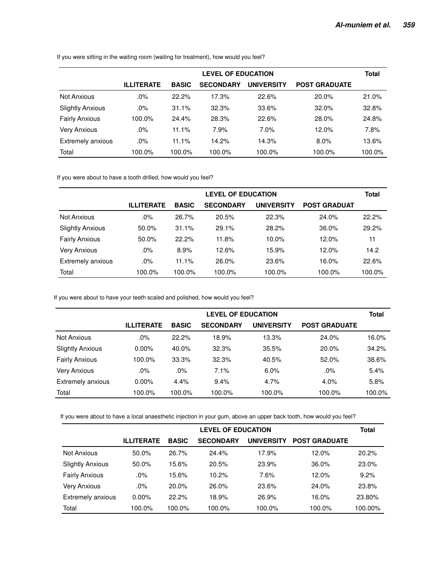|                          |                   | <b>LEVEL OF EDUCATION</b> |                  |                   |                      |        |  |  |
|--------------------------|-------------------|---------------------------|------------------|-------------------|----------------------|--------|--|--|
|                          | <b>ILLITERATE</b> | <b>BASIC</b>              | <b>SECONDARY</b> | <b>UNIVERSITY</b> | <b>POST GRADUATE</b> |        |  |  |
| Not Anxious              | .0%               | 22.2%                     | 17.3%            | 22.6%             | 20.0%                | 21.0%  |  |  |
| <b>Slightly Anxious</b>  | .0%               | 31.1%                     | 32.3%            | 33.6%             | 32.0%                | 32.8%  |  |  |
| <b>Fairly Anxious</b>    | 100.0%            | 24.4%                     | 28.3%            | 22.6%             | 28.0%                | 24.8%  |  |  |
| <b>Very Anxious</b>      | .0%               | 11.1%                     | 7.9%             | 7.0%              | 12.0%                | 7.8%   |  |  |
| <b>Extremely anxious</b> | .0%               | 11.1%                     | 14.2%            | 14.3%             | 8.0%                 | 13.6%  |  |  |
| Total                    | 100.0%            | 100.0%                    | 100.0%           | 100.0%            | 100.0%               | 100.0% |  |  |

If you were sitting in the waiting room (waiting for treatment), how would you feel?

If you were about to have a tooth drilled, how would you feel?

|                         |                   | <b>LEVEL OF EDUCATION</b> |                  |                   |                     |        |  |
|-------------------------|-------------------|---------------------------|------------------|-------------------|---------------------|--------|--|
|                         | <b>ILLITERATE</b> | <b>BASIC</b>              | <b>SECONDARY</b> | <b>UNIVERSITY</b> | <b>POST GRADUAT</b> |        |  |
| Not Anxious             | .0%               | 26.7%                     | 20.5%            | 22.3%             | 24.0%               | 22.2%  |  |
| <b>Slightly Anxious</b> | 50.0%             | 31.1%                     | 29.1%            | 28.2%             | 36.0%               | 29.2%  |  |
| <b>Fairly Anxious</b>   | 50.0%             | 22.2%                     | 11.8%            | 10.0%             | 12.0%               | 11     |  |
| <b>Very Anxious</b>     | .0%               | 8.9%                      | 12.6%            | 15.9%             | 12.0%               | 14.2   |  |
| Extremely anxious       | .0%               | 11.1%                     | 26.0%            | 23.6%             | 16.0%               | 22.6%  |  |
| Total                   | 100.0%            | 100.0%                    | 100.0%           | 100.0%            | 100.0%              | 100.0% |  |

If you were about to have your teeth scaled and polished, how would you feel?

|                         |                   | <b>LEVEL OF EDUCATION</b> |                  |                   |                      |        |  |  |
|-------------------------|-------------------|---------------------------|------------------|-------------------|----------------------|--------|--|--|
|                         | <b>ILLITERATE</b> | <b>BASIC</b>              | <b>SECONDARY</b> | <b>UNIVERSITY</b> | <b>POST GRADUATE</b> |        |  |  |
| <b>Not Anxious</b>      | .0%               | 22.2%                     | 18.9%            | 13.3%             | 24.0%                | 16.0%  |  |  |
| <b>Slightly Anxious</b> | $0.00\%$          | 40.0%                     | 32.3%            | 35.5%             | 20.0%                | 34.2%  |  |  |
| <b>Fairly Anxious</b>   | 100.0%            | 33.3%                     | 32.3%            | 40.5%             | 52.0%                | 38.6%  |  |  |
| <b>Very Anxious</b>     | .0%               | .0%                       | 7.1%             | 6.0%              | .0%                  | 5.4%   |  |  |
| Extremely anxious       | $0.00\%$          | 4.4%                      | 9.4%             | 4.7%              | 4.0%                 | 5.8%   |  |  |
| Total                   | 100.0%            | 100.0%                    | 100.0%           | 100.0%            | 100.0%               | 100.0% |  |  |

If you were about to have a local anaesthetic injection in your gum, above an upper back tooth, how would you feel?

|                         |                   | <b>LEVEL OF EDUCATION</b> |                  |                   |                      |         |  |  |  |
|-------------------------|-------------------|---------------------------|------------------|-------------------|----------------------|---------|--|--|--|
|                         | <b>ILLITERATE</b> | <b>BASIC</b>              | <b>SECONDARY</b> | <b>UNIVERSITY</b> | <b>POST GRADUATE</b> |         |  |  |  |
| Not Anxious             | 50.0%             | 26.7%                     | 24.4%            | 17.9%             | 12.0%                | 20.2%   |  |  |  |
| <b>Slightly Anxious</b> | 50.0%             | 15.6%                     | 20.5%            | 23.9%             | 36.0%                | 23.0%   |  |  |  |
| <b>Fairly Anxious</b>   | .0%               | 15.6%                     | 10.2%            | 7.6%              | 12.0%                | 9.2%    |  |  |  |
| <b>Very Anxious</b>     | $.0\%$            | 20.0%                     | 26.0%            | 23.6%             | 24.0%                | 23.8%   |  |  |  |
| Extremely anxious       | $0.00\%$          | 22.2%                     | 18.9%            | 26.9%             | 16.0%                | 23.80%  |  |  |  |
| Total                   | 100.0%            | 100.0%                    | 100.0%           | 100.0%            | 100.0%               | 100.00% |  |  |  |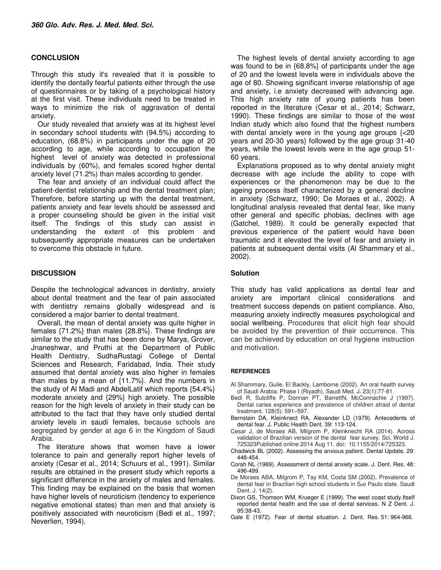# **CONCLUSION**

Through this study it's revealed that it is possible to identify the dentally fearful patients either through the use of questionnaires or by taking of a psychological history at the first visit. These individuals need to be treated in ways to minimize the risk of aggravation of dental anxiety.

Our study revealed that anxiety was at its highest level in secondary school students with (94.5%) according to education, (68.8%) in participants under the age of 20 according to age, while according to occupation the highest level of anxiety was detected in professional individuals by (60%), and females scored higher dental anxiety level (71.2%) than males according to gender.

The fear and anxiety of an individual could affect the patient-dentist relationship and the dental treatment plan; Therefore, before starting up with the dental treatment, patients anxiety and fear levels should be assessed and a proper counseling should be given in the initial visit itself. The findings of this study can assist in understanding the extent of this problem and subsequently appropriate measures can be undertaken to overcome this obstacle in future.

# **DISCUSSION**

Despite the technological advances in dentistry, anxiety about dental treatment and the fear of pain associated with dentistry remains globally widespread and is considered a major barrier to dental treatment.

Overall, the mean of dental anxiety was quite higher in females {71.2%} than males {28.8%}. These findings are similar to the study that has been done by Marya, Grover, Jnaneshwar, and Pruthi at the Department of Public Health Dentistry, SudhaRustagi College of Dental Sciences and Research, Faridabad, India. Their study assumed that dental anxiety was also higher in females than males by a mean of {11.7%}. And the numbers in the study of Al Madi and AbdelLatif which reports {54.4%} moderate anxiety and {29%} high anxiety. The possible reason for the high levels of anxiety in their study can be attributed to the fact that they have only studied dental anxiety levels in saudi females, because schools are segregated by gender at age 6 in the Kingdom of Saudi Arabia.

The literature shows that women have a lower tolerance to pain and generally report higher levels of anxiety (Cesar et al., 2014; Schuurs et al., 1991). Similar results are obtained in the present study which reports a significant difference in the anxiety of males and females. This finding may be explained on the basis that women have higher levels of neuroticism (tendency to experience negative emotional states) than men and that anxiety is positively associated with neuroticism (Bedi et al., 1997; Neverlien, 1994).

The highest levels of dental anxiety according to age was found to be in {68.8%} of participants under the age of 20 and the lowest levels were in individuals above the age of 80. Showing significant inverse relationship of age and anxiety, i.e anxiety decreased with advancing age. This high anxiety rate of young patients has been reported in the literature (Cesar et al., 2014; Schwarz, 1990). These findings are similar to those of the west Indian study which also found that the highest numbers with dental anxiety were in the young age groups {<20 years and 20-30 years} followed by the age group 31-40 years, while the lowest levels were in the age group 51- 60 years.

Explanations proposed as to why dental anxiety might decrease with age include the ability to cope with experiences or the phenomenon may be due to the ageing process itself characterized by a general decline in anxiety (Schwarz, 1990; De Moraes et al., 2002). A longitudinal analysis revealed that dental fear, like many other general and specific phobias, declines with age (Gatchel, 1989). It could be generally expected that previous experience of the patient would have been traumatic and it elevated the level of fear and anxiety in patients at subsequent dental visits (Al Shammary et al., 2002).

## **Solution**

This study has valid applications as dental fear and anxiety are important clinical considerations and treatment success depends on patient compliance. Also, measuring anxiety indirectly measures psychological and social wellbeing. Procedures that elicit high fear should be avoided by the prevention of their occurrence. This can be achieved by education on oral hygiene instruction and motivation.

#### **REFERENCES**

- Al Shammary, Guile, El Backly, Lamborne (2002). An oral health survey of Saudi Arabia: Phase I (Riyadh), Saudi Med. J. 23(1):77-81.
- Bedi R, Sutcliffe P, Donnan PT, BarrettN, McConnachie J (1997). Dental caries experience and prevalence of children afraid of dental treatment. 128(5): 591–597.
- Bernstein DA, Kleinknect RA, Alexander LD (1979). Antecedents of dental fear. J. Public Health Dent. 39: 113-124.
- Cesar J, de Moraes AB, Milgrom P, Kleinknecht RA (2014). Across validation of Brazilian version of the dental fear survey. Sci. World J. 725323Published online 2014 Aug 11. doi: 10.1155/2014/725323.
- Chadwick BL (2002). Assessing the anxious patient. Dental Update. 29: 448-454.
- Corah NL (1969). Assessment of dental anxiety scale. J. Dent. Res. 48: 496-499.
- De Moraes ABA, Milgrom P, Tay KM, Costa SM (2002). Prevalence of dental fear in Brazilian high school students in Sمo Paulo state. Saudi Dent. J. 14(2).
- Dixon GS, Thomson WM, Krueger E (1999). The west coast study.Itself reported dental health and the use of dental services. N Z Dent. J. 95:38-43.
- Gale E (1972). Fear of dental situation. J. Dent. Res. 51: 964-966.